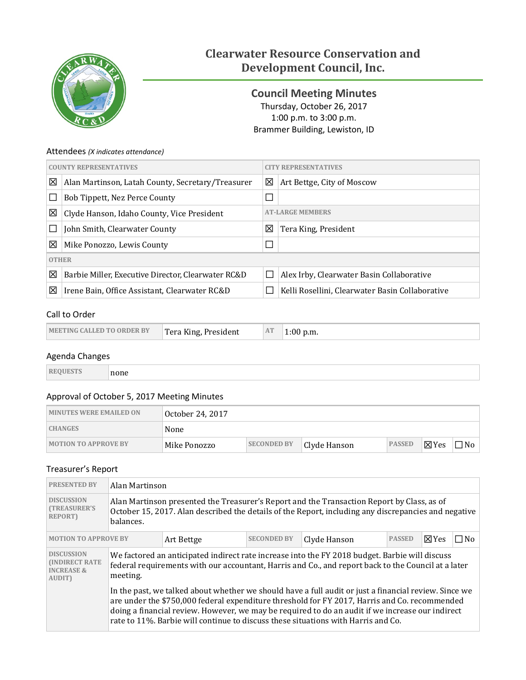

# **Clearwater Resource Conservation and Development Council, Inc.**

<span id="page-0-0"></span>**Council Meeting Minutes** Thursday, October 26, 2017 1:00 p.m. to 3:00 p.m. Brammer Building, Lewiston, ID

# Attendees *(X indicates attendance)*

| <b>COUNTY REPRESENTATIVES</b> |                                                    | <b>CITY REPRESENTATIVES</b> |                                                 |  |
|-------------------------------|----------------------------------------------------|-----------------------------|-------------------------------------------------|--|
| ⊠                             | Alan Martinson, Latah County, Secretary/Treasurer  | 区                           | Art Bettge, City of Moscow                      |  |
|                               | Bob Tippett, Nez Perce County                      |                             |                                                 |  |
| ⊠                             | Clyde Hanson, Idaho County, Vice President         | <b>AT-LARGE MEMBERS</b>     |                                                 |  |
|                               | John Smith, Clearwater County                      | 区                           | Tera King, President                            |  |
| ⊠                             | Mike Ponozzo, Lewis County                         | $\Box$                      |                                                 |  |
| <b>OTHER</b>                  |                                                    |                             |                                                 |  |
| ⊠                             | Barbie Miller, Executive Director, Clearwater RC&D |                             | Alex Irby, Clearwater Basin Collaborative       |  |
| ⊠                             | Irene Bain, Office Assistant, Clearwater RC&D      |                             | Kelli Rosellini, Clearwater Basin Collaborative |  |

# Call to Order

| MEETING CALLED TO ORDER BY | Tera King, President | AT | $1:00$ p.m. |
|----------------------------|----------------------|----|-------------|
|----------------------------|----------------------|----|-------------|

## Agenda Changes

|--|

# Approval of October 5, 2017 Meeting Minutes

| <b>MINUTES WERE EMAILED ON</b> | ® October 24, 2017 |                    |              |               |                 |           |
|--------------------------------|--------------------|--------------------|--------------|---------------|-----------------|-----------|
| <b>CHANGES</b>                 | None               |                    |              |               |                 |           |
| <b>MOTION TO APPROVE BY</b>    | Mike Ponozzo       | <b>SECONDED BY</b> | Clyde Hanson | <b>PASSED</b> | $\boxtimes$ Yes | $\neg$ No |

# Treasurer's Report

| <b>PRESENTED BY</b>                                                                                                 | Alan Martinson                                                                                                                                                                                                                                                                                                                                                                                  |  |  |  |  |           |  |
|---------------------------------------------------------------------------------------------------------------------|-------------------------------------------------------------------------------------------------------------------------------------------------------------------------------------------------------------------------------------------------------------------------------------------------------------------------------------------------------------------------------------------------|--|--|--|--|-----------|--|
| <b>DISCUSSION</b><br><b>(TREASURER'S)</b><br><b>REPORT)</b>                                                         | Alan Martinson presented the Treasurer's Report and the Transaction Report by Class, as of<br>October 15, 2017. Alan described the details of the Report, including any discrepancies and negative<br>balances.                                                                                                                                                                                 |  |  |  |  |           |  |
| <b>PASSED</b><br>$\boxtimes$ Yes<br><b>SECONDED BY</b><br><b>MOTION TO APPROVE BY</b><br>Clyde Hanson<br>Art Bettge |                                                                                                                                                                                                                                                                                                                                                                                                 |  |  |  |  | $\Box$ No |  |
| <b>DISCUSSION</b><br><b>INDIRECT RATE</b><br><b>INCREASE &amp;</b><br><b>AUDIT)</b>                                 | We factored an anticipated indirect rate increase into the FY 2018 budget. Barbie will discuss<br>federal requirements with our accountant, Harris and Co., and report back to the Council at a later<br>meeting.                                                                                                                                                                               |  |  |  |  |           |  |
|                                                                                                                     | In the past, we talked about whether we should have a full audit or just a financial review. Since we<br>are under the \$750,000 federal expenditure threshold for FY 2017, Harris and Co. recommended<br>doing a financial review. However, we may be required to do an audit if we increase our indirect<br>rate to 11%. Barbie will continue to discuss these situations with Harris and Co. |  |  |  |  |           |  |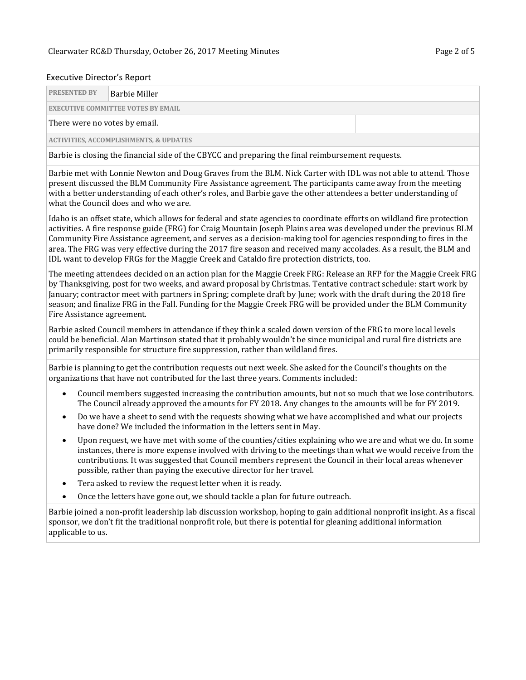#### Executive Director's Report

| <b>PRESENTED BY</b>           | Barbie Miller                             |  |  |  |  |  |  |
|-------------------------------|-------------------------------------------|--|--|--|--|--|--|
|                               | <b>EXECUTIVE COMMITTEE VOTES BY EMAIL</b> |  |  |  |  |  |  |
| There were no votes by email. |                                           |  |  |  |  |  |  |

**ACTIVITIES, ACCOMPLISHMENTS, & UPDATES**

Barbie is closing the financial side of the CBYCC and preparing the final reimbursement requests.

Barbie met with Lonnie Newton and Doug Graves from the BLM. Nick Carter with IDL was not able to attend. Those present discussed the BLM Community Fire Assistance agreement. The participants came away from the meeting with a better understanding of each other's roles, and Barbie gave the other attendees a better understanding of what the Council does and who we are.

Idaho is an offset state, which allows for federal and state agencies to coordinate efforts on wildland fire protection activities. A fire response guide (FRG) for Craig Mountain Joseph Plains area was developed under the previous BLM Community Fire Assistance agreement, and serves as a decision-making tool for agencies responding to fires in the area. The FRG was very effective during the 2017 fire season and received many accolades. As a result, the BLM and IDL want to develop FRGs for the Maggie Creek and Cataldo fire protection districts, too.

The meeting attendees decided on an action plan for the Maggie Creek FRG: Release an RFP for the Maggie Creek FRG by Thanksgiving, post for two weeks, and award proposal by Christmas. Tentative contract schedule: start work by January; contractor meet with partners in Spring; complete draft by June; work with the draft during the 2018 fire season; and finalize FRG in the Fall. Funding for the Maggie Creek FRG will be provided under the BLM Community Fire Assistance agreement.

Barbie asked Council members in attendance if they think a scaled down version of the FRG to more local levels could be beneficial. Alan Martinson stated that it probably wouldn't be since municipal and rural fire districts are primarily responsible for structure fire suppression, rather than wildland fires.

Barbie is planning to get the contribution requests out next week. She asked for the Council's thoughts on the organizations that have not contributed for the last three years. Comments included:

- Council members suggested increasing the contribution amounts, but not so much that we lose contributors. The Council already approved the amounts for FY 2018. Any changes to the amounts will be for FY 2019.
- Do we have a sheet to send with the requests showing what we have accomplished and what our projects have done? We included the information in the letters sent in May.
- Upon request, we have met with some of the counties/cities explaining who we are and what we do. In some instances, there is more expense involved with driving to the meetings than what we would receive from the contributions. It was suggested that Council members represent the Council in their local areas whenever possible, rather than paying the executive director for her travel.
- Tera asked to review the request letter when it is ready.
- Once the letters have gone out, we should tackle a plan for future outreach.

Barbie joined a non-profit leadership lab discussion workshop, hoping to gain additional nonprofit insight. As a fiscal sponsor, we don't fit the traditional nonprofit role, but there is potential for gleaning additional information applicable to us.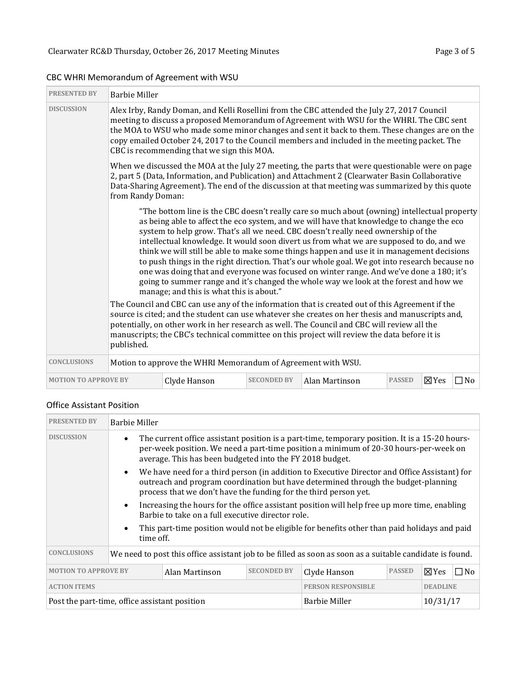| <b>PRESENTED BY</b>         | <b>Barbie Miller</b>                                                                                                                                                                                                                                                                                                                                                                                                                                                                                                                                                                                                                                                                                                                                                                                    |                                                              |                    |                |               |               |           |  |
|-----------------------------|---------------------------------------------------------------------------------------------------------------------------------------------------------------------------------------------------------------------------------------------------------------------------------------------------------------------------------------------------------------------------------------------------------------------------------------------------------------------------------------------------------------------------------------------------------------------------------------------------------------------------------------------------------------------------------------------------------------------------------------------------------------------------------------------------------|--------------------------------------------------------------|--------------------|----------------|---------------|---------------|-----------|--|
| <b>DISCUSSION</b>           | Alex Irby, Randy Doman, and Kelli Rosellini from the CBC attended the July 27, 2017 Council<br>meeting to discuss a proposed Memorandum of Agreement with WSU for the WHRI. The CBC sent<br>the MOA to WSU who made some minor changes and sent it back to them. These changes are on the<br>copy emailed October 24, 2017 to the Council members and included in the meeting packet. The<br>CBC is recommending that we sign this MOA.                                                                                                                                                                                                                                                                                                                                                                 |                                                              |                    |                |               |               |           |  |
|                             | When we discussed the MOA at the July 27 meeting, the parts that were questionable were on page<br>2, part 5 (Data, Information, and Publication) and Attachment 2 (Clearwater Basin Collaborative<br>Data-Sharing Agreement). The end of the discussion at that meeting was summarized by this quote<br>from Randy Doman:                                                                                                                                                                                                                                                                                                                                                                                                                                                                              |                                                              |                    |                |               |               |           |  |
|                             | "The bottom line is the CBC doesn't really care so much about (owning) intellectual property<br>as being able to affect the eco system, and we will have that knowledge to change the eco<br>system to help grow. That's all we need. CBC doesn't really need ownership of the<br>intellectual knowledge. It would soon divert us from what we are supposed to do, and we<br>think we will still be able to make some things happen and use it in management decisions<br>to push things in the right direction. That's our whole goal. We got into research because no<br>one was doing that and everyone was focused on winter range. And we've done a 180; it's<br>going to summer range and it's changed the whole way we look at the forest and how we<br>manage; and this is what this is about." |                                                              |                    |                |               |               |           |  |
|                             | The Council and CBC can use any of the information that is created out of this Agreement if the<br>source is cited; and the student can use whatever she creates on her thesis and manuscripts and,<br>potentially, on other work in her research as well. The Council and CBC will review all the<br>manuscripts; the CBC's technical committee on this project will review the data before it is<br>published.                                                                                                                                                                                                                                                                                                                                                                                        |                                                              |                    |                |               |               |           |  |
| <b>CONCLUSIONS</b>          |                                                                                                                                                                                                                                                                                                                                                                                                                                                                                                                                                                                                                                                                                                                                                                                                         | Motion to approve the WHRI Memorandum of Agreement with WSU. |                    |                |               |               |           |  |
| <b>MOTION TO APPROVE BY</b> |                                                                                                                                                                                                                                                                                                                                                                                                                                                                                                                                                                                                                                                                                                                                                                                                         | Clyde Hanson                                                 | <b>SECONDED BY</b> | Alan Martinson | <b>PASSED</b> | $\nabla Y$ es | $\Box$ No |  |

# CBC WHRI Memorandum of Agreement with WSU

Г

# Office Assistant Position

| <b>PRESENTED BY</b>                                                                                                    | <b>Barbie Miller</b>                                                                                                                                                                                                                                            |                                                                                                                                                                                                                                                       |  |                                                                                                          |  |              |  |
|------------------------------------------------------------------------------------------------------------------------|-----------------------------------------------------------------------------------------------------------------------------------------------------------------------------------------------------------------------------------------------------------------|-------------------------------------------------------------------------------------------------------------------------------------------------------------------------------------------------------------------------------------------------------|--|----------------------------------------------------------------------------------------------------------|--|--------------|--|
| <b>DISCUSSION</b>                                                                                                      | The current office assistant position is a part-time, temporary position. It is a 15-20 hours-<br>$\bullet$<br>per-week position. We need a part-time position a minimum of 20-30 hours-per-week on<br>average. This has been budgeted into the FY 2018 budget. |                                                                                                                                                                                                                                                       |  |                                                                                                          |  |              |  |
|                                                                                                                        | $\bullet$                                                                                                                                                                                                                                                       | We have need for a third person (in addition to Executive Director and Office Assistant) for<br>outreach and program coordination but have determined through the budget-planning<br>process that we don't have the funding for the third person yet. |  |                                                                                                          |  |              |  |
|                                                                                                                        | $\bullet$                                                                                                                                                                                                                                                       | Increasing the hours for the office assistant position will help free up more time, enabling<br>Barbie to take on a full executive director role.                                                                                                     |  |                                                                                                          |  |              |  |
| This part-time position would not be eligible for benefits other than paid holidays and paid<br>$\bullet$<br>time off. |                                                                                                                                                                                                                                                                 |                                                                                                                                                                                                                                                       |  |                                                                                                          |  |              |  |
| <b>CONCLUSIONS</b>                                                                                                     |                                                                                                                                                                                                                                                                 |                                                                                                                                                                                                                                                       |  | We need to post this office assistant job to be filled as soon as soon as a suitable candidate is found. |  |              |  |
| <b>PASSED</b><br>$\Sigma$ Yes<br><b>MOTION TO APPROVE BY</b><br><b>SECONDED BY</b><br>Alan Martinson<br>Clyde Hanson   |                                                                                                                                                                                                                                                                 |                                                                                                                                                                                                                                                       |  |                                                                                                          |  | $\square$ No |  |
| <b>ACTION ITEMS</b><br><b>PERSON RESPONSIBLE</b><br><b>DEADLINE</b>                                                    |                                                                                                                                                                                                                                                                 |                                                                                                                                                                                                                                                       |  |                                                                                                          |  |              |  |
|                                                                                                                        | <b>Barbie Miller</b><br>10/31/17<br>Post the part-time, office assistant position                                                                                                                                                                               |                                                                                                                                                                                                                                                       |  |                                                                                                          |  |              |  |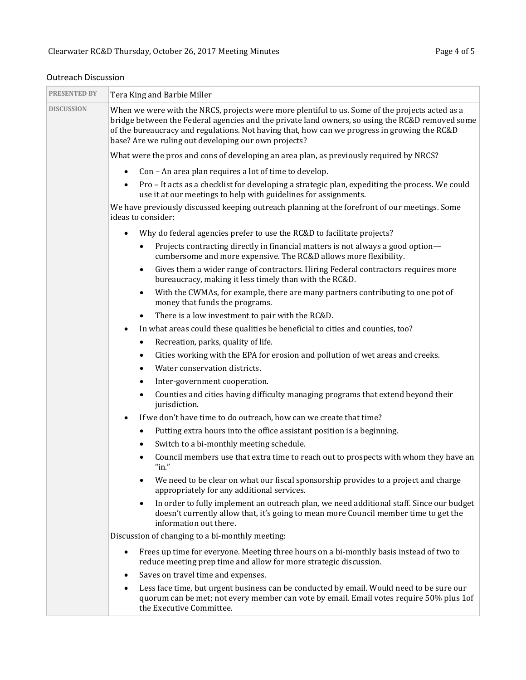| <b>PRESENTED BY</b> | Tera King and Barbie Miller                                                                                                                                                                                                                                                                                                                                |  |  |  |  |
|---------------------|------------------------------------------------------------------------------------------------------------------------------------------------------------------------------------------------------------------------------------------------------------------------------------------------------------------------------------------------------------|--|--|--|--|
| <b>DISCUSSION</b>   | When we were with the NRCS, projects were more plentiful to us. Some of the projects acted as a<br>bridge between the Federal agencies and the private land owners, so using the RC&D removed some<br>of the bureaucracy and regulations. Not having that, how can we progress in growing the RC&D<br>base? Are we ruling out developing our own projects? |  |  |  |  |
|                     | What were the pros and cons of developing an area plan, as previously required by NRCS?                                                                                                                                                                                                                                                                    |  |  |  |  |
|                     | Con - An area plan requires a lot of time to develop.<br>$\bullet$                                                                                                                                                                                                                                                                                         |  |  |  |  |
|                     | Pro - It acts as a checklist for developing a strategic plan, expediting the process. We could<br>use it at our meetings to help with guidelines for assignments.                                                                                                                                                                                          |  |  |  |  |
|                     | We have previously discussed keeping outreach planning at the forefront of our meetings. Some<br>ideas to consider:                                                                                                                                                                                                                                        |  |  |  |  |
|                     | Why do federal agencies prefer to use the RC&D to facilitate projects?<br>$\bullet$                                                                                                                                                                                                                                                                        |  |  |  |  |
|                     | Projects contracting directly in financial matters is not always a good option-<br>$\bullet$<br>cumbersome and more expensive. The RC&D allows more flexibility.                                                                                                                                                                                           |  |  |  |  |
|                     | Gives them a wider range of contractors. Hiring Federal contractors requires more<br>$\bullet$<br>bureaucracy, making it less timely than with the RC&D.                                                                                                                                                                                                   |  |  |  |  |
|                     | With the CWMAs, for example, there are many partners contributing to one pot of<br>$\bullet$<br>money that funds the programs.                                                                                                                                                                                                                             |  |  |  |  |
|                     | There is a low investment to pair with the RC&D.<br>٠                                                                                                                                                                                                                                                                                                      |  |  |  |  |
|                     | In what areas could these qualities be beneficial to cities and counties, too?<br>$\bullet$                                                                                                                                                                                                                                                                |  |  |  |  |
|                     | Recreation, parks, quality of life.<br>$\bullet$                                                                                                                                                                                                                                                                                                           |  |  |  |  |
|                     | Cities working with the EPA for erosion and pollution of wet areas and creeks.<br>$\bullet$                                                                                                                                                                                                                                                                |  |  |  |  |
|                     | Water conservation districts.<br>$\bullet$                                                                                                                                                                                                                                                                                                                 |  |  |  |  |
|                     | Inter-government cooperation.<br>٠                                                                                                                                                                                                                                                                                                                         |  |  |  |  |
|                     | Counties and cities having difficulty managing programs that extend beyond their<br>$\bullet$<br>jurisdiction.                                                                                                                                                                                                                                             |  |  |  |  |
|                     | If we don't have time to do outreach, how can we create that time?<br>$\bullet$                                                                                                                                                                                                                                                                            |  |  |  |  |
|                     | Putting extra hours into the office assistant position is a beginning.<br>$\bullet$                                                                                                                                                                                                                                                                        |  |  |  |  |
|                     | Switch to a bi-monthly meeting schedule.<br>$\bullet$                                                                                                                                                                                                                                                                                                      |  |  |  |  |
|                     | Council members use that extra time to reach out to prospects with whom they have an<br>$\bullet$<br>"in."                                                                                                                                                                                                                                                 |  |  |  |  |
|                     | We need to be clear on what our fiscal sponsorship provides to a project and charge<br>$\bullet$<br>appropriately for any additional services.                                                                                                                                                                                                             |  |  |  |  |
|                     | In order to fully implement an outreach plan, we need additional staff. Since our budget<br>$\bullet$<br>doesn't currently allow that, it's going to mean more Council member time to get the<br>information out there.                                                                                                                                    |  |  |  |  |
|                     | Discussion of changing to a bi-monthly meeting:                                                                                                                                                                                                                                                                                                            |  |  |  |  |
|                     | Frees up time for everyone. Meeting three hours on a bi-monthly basis instead of two to<br>$\bullet$<br>reduce meeting prep time and allow for more strategic discussion.                                                                                                                                                                                  |  |  |  |  |
|                     | Saves on travel time and expenses.<br>$\bullet$                                                                                                                                                                                                                                                                                                            |  |  |  |  |
|                     | Less face time, but urgent business can be conducted by email. Would need to be sure our<br>٠<br>quorum can be met; not every member can vote by email. Email votes require 50% plus 1of<br>the Executive Committee.                                                                                                                                       |  |  |  |  |